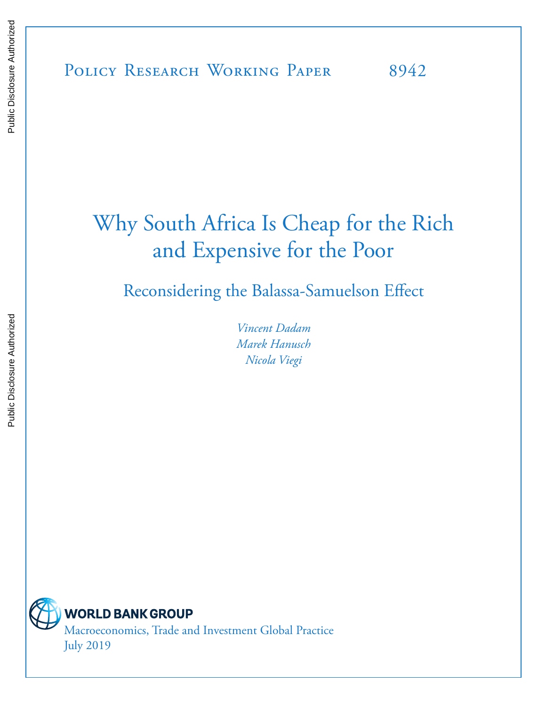# Why South Africa Is Cheap for the Rich and Expensive for the Poor

Reconsidering the Balassa-Samuelson Effect

*Vincent Dadam Marek Hanusch Nicola Viegi*



**WORLD BANK GROUP** Macroeconomics, Trade and Investment Global Practice July 2019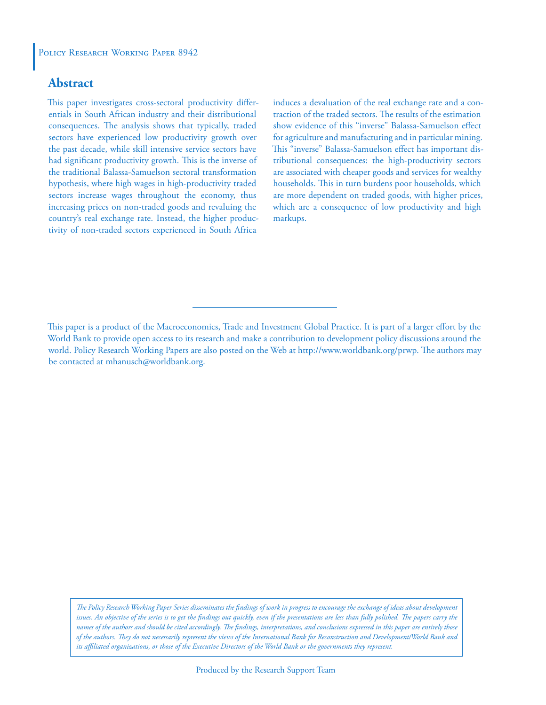#### **Abstract**

This paper investigates cross-sectoral productivity differentials in South African industry and their distributional consequences. The analysis shows that typically, traded sectors have experienced low productivity growth over the past decade, while skill intensive service sectors have had significant productivity growth. This is the inverse of the traditional Balassa-Samuelson sectoral transformation hypothesis, where high wages in high-productivity traded sectors increase wages throughout the economy, thus increasing prices on non-traded goods and revaluing the country's real exchange rate. Instead, the higher productivity of non-traded sectors experienced in South Africa

induces a devaluation of the real exchange rate and a contraction of the traded sectors. The results of the estimation show evidence of this "inverse" Balassa-Samuelson effect for agriculture and manufacturing and in particular mining. This "inverse" Balassa-Samuelson effect has important distributional consequences: the high-productivity sectors are associated with cheaper goods and services for wealthy households. This in turn burdens poor households, which are more dependent on traded goods, with higher prices, which are a consequence of low productivity and high markups.

*The Policy Research Working Paper Series disseminates the findings of work in progress to encourage the exchange of ideas about development*  issues. An objective of the series is to get the findings out quickly, even if the presentations are less than fully polished. The papers carry the *names of the authors and should be cited accordingly. The findings, interpretations, and conclusions expressed in this paper are entirely those of the authors. They do not necessarily represent the views of the International Bank for Reconstruction and Development/World Bank and its affiliated organizations, or those of the Executive Directors of the World Bank or the governments they represent.*

This paper is a product of the Macroeconomics, Trade and Investment Global Practice. It is part of a larger effort by the World Bank to provide open access to its research and make a contribution to development policy discussions around the world. Policy Research Working Papers are also posted on the Web at http://www.worldbank.org/prwp. The authors may be contacted at mhanusch@worldbank.org.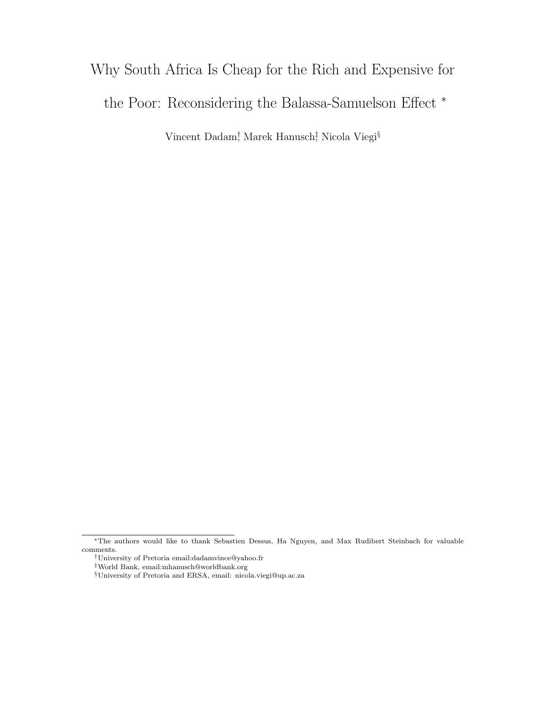## Why South Africa Is Cheap for the Rich and Expensive for the Poor: Reconsidering the Balassa-Samuelson Effect <sup>∗</sup>

Vincent Dadam<sup>†</sup> Marek Hanusch<sup>‡</sup> Nicola Viegi<sup>§</sup>

<sup>∗</sup>The authors would like to thank Sebastien Dessus, Ha Nguyen, and Max Rudibert Steinbach for valuable comments.

<sup>†</sup>University of Pretoria email:dadamvince@yahoo.fr

<sup>‡</sup>World Bank, email:mhanusch@worldbank.org

 $\S$ University of Pretoria and ERSA, email: nicola.viegi@up.ac.za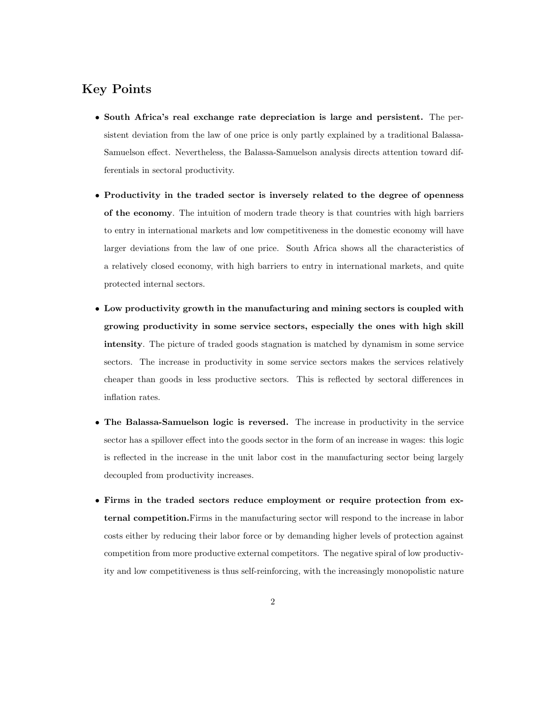### Key Points

- South Africa's real exchange rate depreciation is large and persistent. The persistent deviation from the law of one price is only partly explained by a traditional Balassa-Samuelson effect. Nevertheless, the Balassa-Samuelson analysis directs attention toward differentials in sectoral productivity.
- Productivity in the traded sector is inversely related to the degree of openness of the economy. The intuition of modern trade theory is that countries with high barriers to entry in international markets and low competitiveness in the domestic economy will have larger deviations from the law of one price. South Africa shows all the characteristics of a relatively closed economy, with high barriers to entry in international markets, and quite protected internal sectors.
- Low productivity growth in the manufacturing and mining sectors is coupled with growing productivity in some service sectors, especially the ones with high skill intensity. The picture of traded goods stagnation is matched by dynamism in some service sectors. The increase in productivity in some service sectors makes the services relatively cheaper than goods in less productive sectors. This is reflected by sectoral differences in inflation rates.
- The Balassa-Samuelson logic is reversed. The increase in productivity in the service sector has a spillover effect into the goods sector in the form of an increase in wages: this logic is reflected in the increase in the unit labor cost in the manufacturing sector being largely decoupled from productivity increases.
- Firms in the traded sectors reduce employment or require protection from external competition.Firms in the manufacturing sector will respond to the increase in labor costs either by reducing their labor force or by demanding higher levels of protection against competition from more productive external competitors. The negative spiral of low productivity and low competitiveness is thus self-reinforcing, with the increasingly monopolistic nature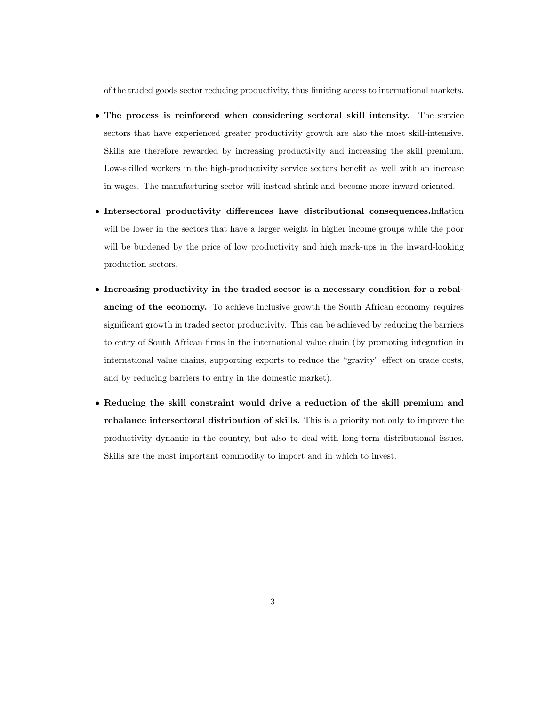of the traded goods sector reducing productivity, thus limiting access to international markets.

- The process is reinforced when considering sectoral skill intensity. The service sectors that have experienced greater productivity growth are also the most skill-intensive. Skills are therefore rewarded by increasing productivity and increasing the skill premium. Low-skilled workers in the high-productivity service sectors benefit as well with an increase in wages. The manufacturing sector will instead shrink and become more inward oriented.
- Intersectoral productivity differences have distributional consequences.Inflation will be lower in the sectors that have a larger weight in higher income groups while the poor will be burdened by the price of low productivity and high mark-ups in the inward-looking production sectors.
- Increasing productivity in the traded sector is a necessary condition for a rebalancing of the economy. To achieve inclusive growth the South African economy requires significant growth in traded sector productivity. This can be achieved by reducing the barriers to entry of South African firms in the international value chain (by promoting integration in international value chains, supporting exports to reduce the "gravity" effect on trade costs, and by reducing barriers to entry in the domestic market).
- Reducing the skill constraint would drive a reduction of the skill premium and rebalance intersectoral distribution of skills. This is a priority not only to improve the productivity dynamic in the country, but also to deal with long-term distributional issues. Skills are the most important commodity to import and in which to invest.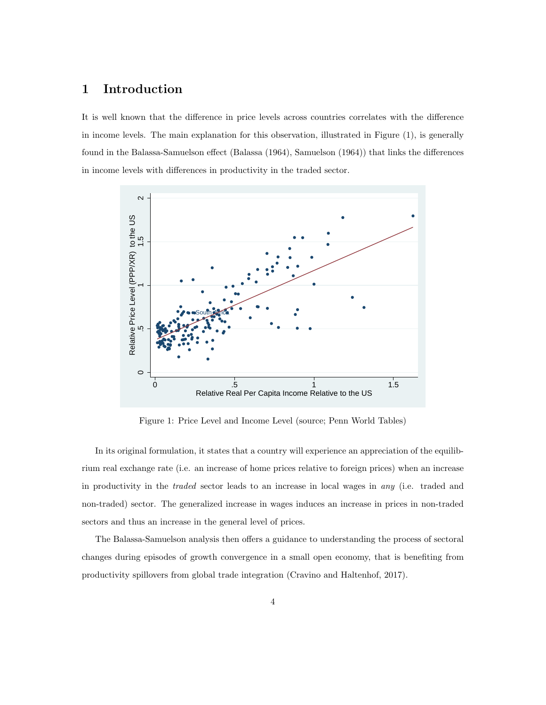### 1 Introduction

It is well known that the difference in price levels across countries correlates with the difference in income levels. The main explanation for this observation, illustrated in Figure (1), is generally found in the Balassa-Samuelson effect (Balassa (1964), Samuelson (1964)) that links the differences in income levels with differences in productivity in the traded sector.



Figure 1: Price Level and Income Level (source; Penn World Tables)

In its original formulation, it states that a country will experience an appreciation of the equilibrium real exchange rate (i.e. an increase of home prices relative to foreign prices) when an increase in productivity in the traded sector leads to an increase in local wages in any (i.e. traded and non-traded) sector. The generalized increase in wages induces an increase in prices in non-traded sectors and thus an increase in the general level of prices.

The Balassa-Samuelson analysis then offers a guidance to understanding the process of sectoral changes during episodes of growth convergence in a small open economy, that is benefiting from productivity spillovers from global trade integration (Cravino and Haltenhof, 2017).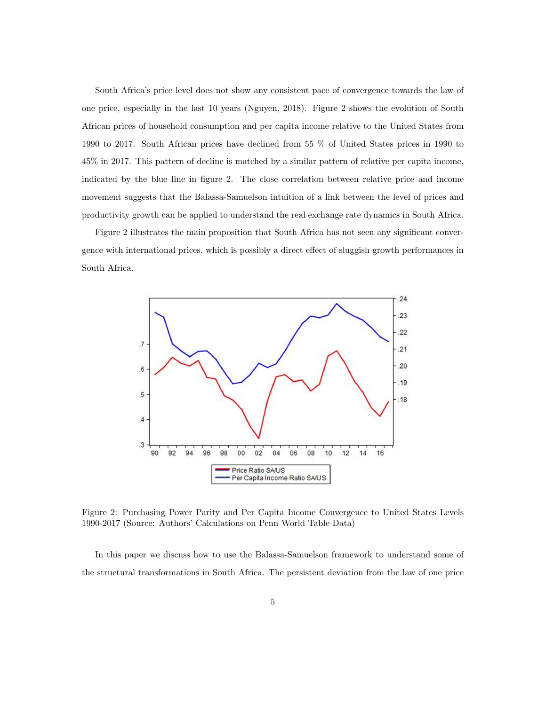South Africa's price level does not show any consistent pace of convergence towards the law of one price, especially in the last 10 years (Nguyen, 2018). Figure 2 shows the evolution of South African prices of household consumption and per capita income relative to the United States from 1990 to 2017. South African prices have declined from 55 % of United States prices in 1990 to 45% in 2017. This pattern of decline is matched by a similar pattern of relative per capita income, indicated by the blue line in figure 2. The close correlation between relative price and income movement suggests that the Balassa-Samuelson intuition of a link between the level of prices and productivity growth can be applied to understand the real exchange rate dynamics in South Africa.

Figure 2 illustrates the main proposition that South Africa has not seen any significant convergence with international prices, which is possibly a direct effect of sluggish growth performances in South Africa.



Figure 2: Purchasing Power Parity and Per Capita Income Convergence to United States Levels 1990-2017 (Source: Authors' Calculations on Penn World Table Data)

In this paper we discuss how to use the Balassa-Samuelson framework to understand some of the structural transformations in South Africa. The persistent deviation from the law of one price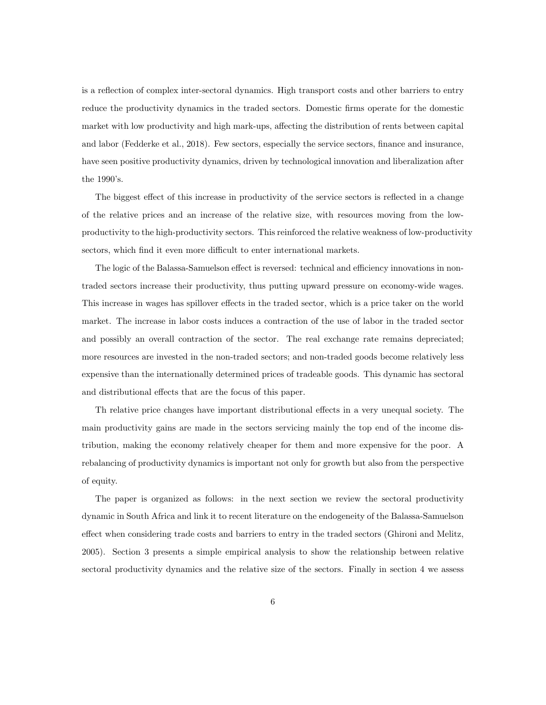is a reflection of complex inter-sectoral dynamics. High transport costs and other barriers to entry reduce the productivity dynamics in the traded sectors. Domestic firms operate for the domestic market with low productivity and high mark-ups, affecting the distribution of rents between capital and labor (Fedderke et al., 2018). Few sectors, especially the service sectors, finance and insurance, have seen positive productivity dynamics, driven by technological innovation and liberalization after the 1990's.

The biggest effect of this increase in productivity of the service sectors is reflected in a change of the relative prices and an increase of the relative size, with resources moving from the lowproductivity to the high-productivity sectors. This reinforced the relative weakness of low-productivity sectors, which find it even more difficult to enter international markets.

The logic of the Balassa-Samuelson effect is reversed: technical and efficiency innovations in nontraded sectors increase their productivity, thus putting upward pressure on economy-wide wages. This increase in wages has spillover effects in the traded sector, which is a price taker on the world market. The increase in labor costs induces a contraction of the use of labor in the traded sector and possibly an overall contraction of the sector. The real exchange rate remains depreciated; more resources are invested in the non-traded sectors; and non-traded goods become relatively less expensive than the internationally determined prices of tradeable goods. This dynamic has sectoral and distributional effects that are the focus of this paper.

Th relative price changes have important distributional effects in a very unequal society. The main productivity gains are made in the sectors servicing mainly the top end of the income distribution, making the economy relatively cheaper for them and more expensive for the poor. A rebalancing of productivity dynamics is important not only for growth but also from the perspective of equity.

The paper is organized as follows: in the next section we review the sectoral productivity dynamic in South Africa and link it to recent literature on the endogeneity of the Balassa-Samuelson effect when considering trade costs and barriers to entry in the traded sectors (Ghironi and Melitz, 2005). Section 3 presents a simple empirical analysis to show the relationship between relative sectoral productivity dynamics and the relative size of the sectors. Finally in section 4 we assess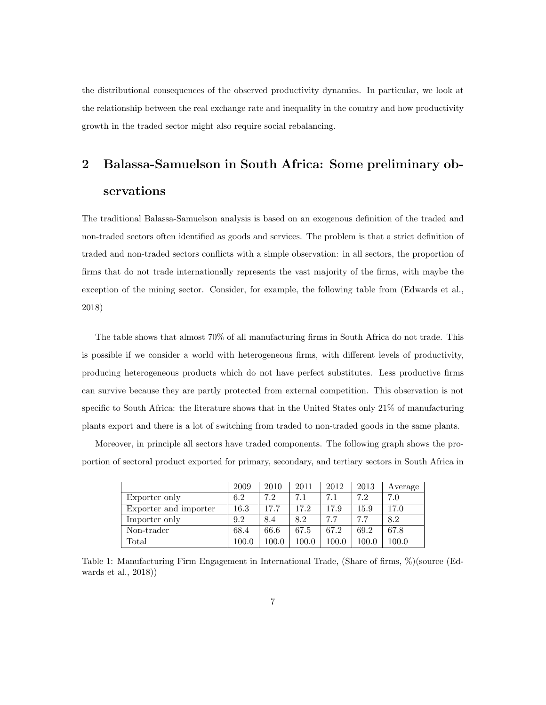the distributional consequences of the observed productivity dynamics. In particular, we look at the relationship between the real exchange rate and inequality in the country and how productivity growth in the traded sector might also require social rebalancing.

### 2 Balassa-Samuelson in South Africa: Some preliminary observations

The traditional Balassa-Samuelson analysis is based on an exogenous definition of the traded and non-traded sectors often identified as goods and services. The problem is that a strict definition of traded and non-traded sectors conflicts with a simple observation: in all sectors, the proportion of firms that do not trade internationally represents the vast majority of the firms, with maybe the exception of the mining sector. Consider, for example, the following table from (Edwards et al., 2018)

The table shows that almost 70% of all manufacturing firms in South Africa do not trade. This is possible if we consider a world with heterogeneous firms, with different levels of productivity, producing heterogeneous products which do not have perfect substitutes. Less productive firms can survive because they are partly protected from external competition. This observation is not specific to South Africa: the literature shows that in the United States only 21% of manufacturing plants export and there is a lot of switching from traded to non-traded goods in the same plants.

Moreover, in principle all sectors have traded components. The following graph shows the proportion of sectoral product exported for primary, secondary, and tertiary sectors in South Africa in

|                       | 2009  | 2010      | 2011  | 2012  | 2013     | Average |
|-----------------------|-------|-----------|-------|-------|----------|---------|
| Exporter only         | 6.2   | 7.2       | 7.1   | 7.1   | 7.2      | 7.0     |
| Exporter and importer | 16.3  | 17.7      | 17.2  | 17.9  | $15.9\,$ | 17.0    |
| Importer only         | 9.2   | 8.4       | 8.2   | 7.7   | 77       | 8.2     |
| Non-trader            | 68.4  | 66.6      | 67.5  | 67.2  | 69.2     | 67.8    |
| Total                 | 100.0 | $100.0\,$ | 100.0 | 100.0 | 100.0    | 100.0   |

Table 1: Manufacturing Firm Engagement in International Trade, (Share of firms, %)(source (Edwards et al., 2018))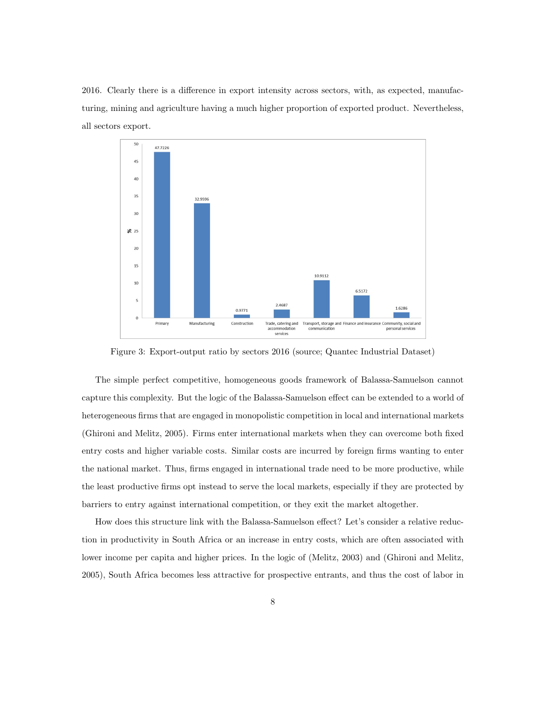2016. Clearly there is a difference in export intensity across sectors, with, as expected, manufacturing, mining and agriculture having a much higher proportion of exported product. Nevertheless, all sectors export.



Figure 3: Export-output ratio by sectors 2016 (source; Quantec Industrial Dataset)

The simple perfect competitive, homogeneous goods framework of Balassa-Samuelson cannot capture this complexity. But the logic of the Balassa-Samuelson effect can be extended to a world of heterogeneous firms that are engaged in monopolistic competition in local and international markets (Ghironi and Melitz, 2005). Firms enter international markets when they can overcome both fixed entry costs and higher variable costs. Similar costs are incurred by foreign firms wanting to enter the national market. Thus, firms engaged in international trade need to be more productive, while the least productive firms opt instead to serve the local markets, especially if they are protected by barriers to entry against international competition, or they exit the market altogether.

How does this structure link with the Balassa-Samuelson effect? Let's consider a relative reduction in productivity in South Africa or an increase in entry costs, which are often associated with lower income per capita and higher prices. In the logic of (Melitz, 2003) and (Ghironi and Melitz, 2005), South Africa becomes less attractive for prospective entrants, and thus the cost of labor in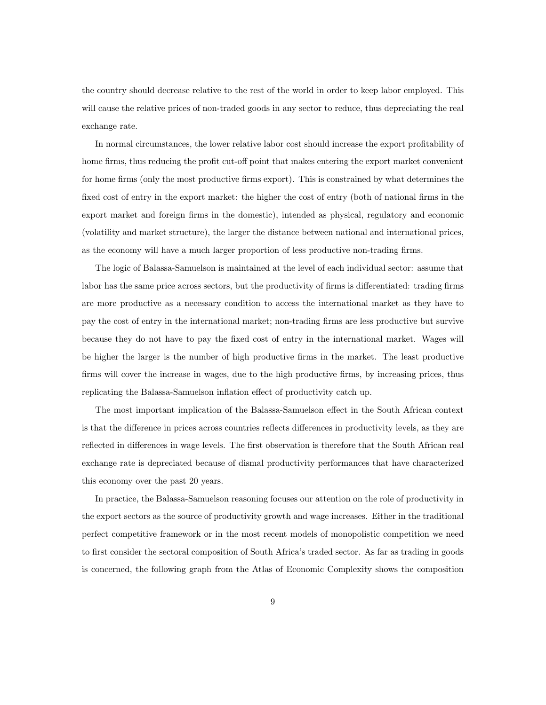the country should decrease relative to the rest of the world in order to keep labor employed. This will cause the relative prices of non-traded goods in any sector to reduce, thus depreciating the real exchange rate.

In normal circumstances, the lower relative labor cost should increase the export profitability of home firms, thus reducing the profit cut-off point that makes entering the export market convenient for home firms (only the most productive firms export). This is constrained by what determines the fixed cost of entry in the export market: the higher the cost of entry (both of national firms in the export market and foreign firms in the domestic), intended as physical, regulatory and economic (volatility and market structure), the larger the distance between national and international prices, as the economy will have a much larger proportion of less productive non-trading firms.

The logic of Balassa-Samuelson is maintained at the level of each individual sector: assume that labor has the same price across sectors, but the productivity of firms is differentiated: trading firms are more productive as a necessary condition to access the international market as they have to pay the cost of entry in the international market; non-trading firms are less productive but survive because they do not have to pay the fixed cost of entry in the international market. Wages will be higher the larger is the number of high productive firms in the market. The least productive firms will cover the increase in wages, due to the high productive firms, by increasing prices, thus replicating the Balassa-Samuelson inflation effect of productivity catch up.

The most important implication of the Balassa-Samuelson effect in the South African context is that the difference in prices across countries reflects differences in productivity levels, as they are reflected in differences in wage levels. The first observation is therefore that the South African real exchange rate is depreciated because of dismal productivity performances that have characterized this economy over the past 20 years.

In practice, the Balassa-Samuelson reasoning focuses our attention on the role of productivity in the export sectors as the source of productivity growth and wage increases. Either in the traditional perfect competitive framework or in the most recent models of monopolistic competition we need to first consider the sectoral composition of South Africa's traded sector. As far as trading in goods is concerned, the following graph from the Atlas of Economic Complexity shows the composition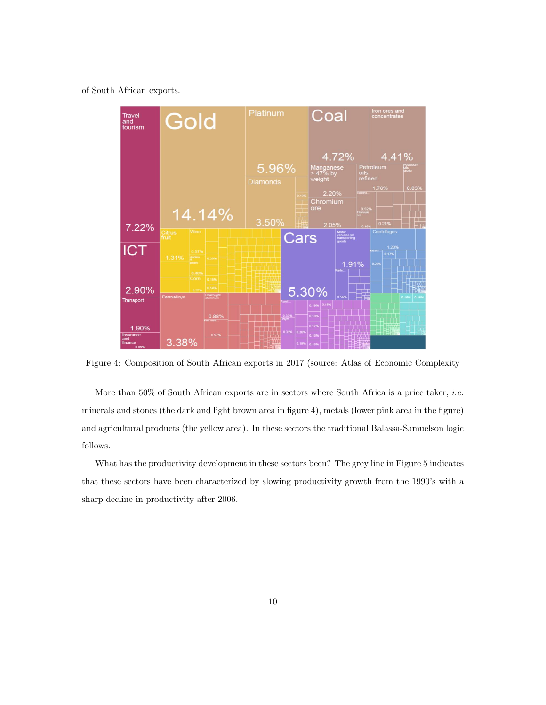of South African exports.



Figure 4: Composition of South African exports in 2017 (source: Atlas of Economic Complexity

More than 50% of South African exports are in sectors where South Africa is a price taker, *i.e.* minerals and stones (the dark and light brown area in figure 4), metals (lower pink area in the figure) and agricultural products (the yellow area). In these sectors the traditional Balassa-Samuelson logic follows.

What has the productivity development in these sectors been? The grey line in Figure 5 indicates that these sectors have been characterized by slowing productivity growth from the 1990's with a sharp decline in productivity after 2006.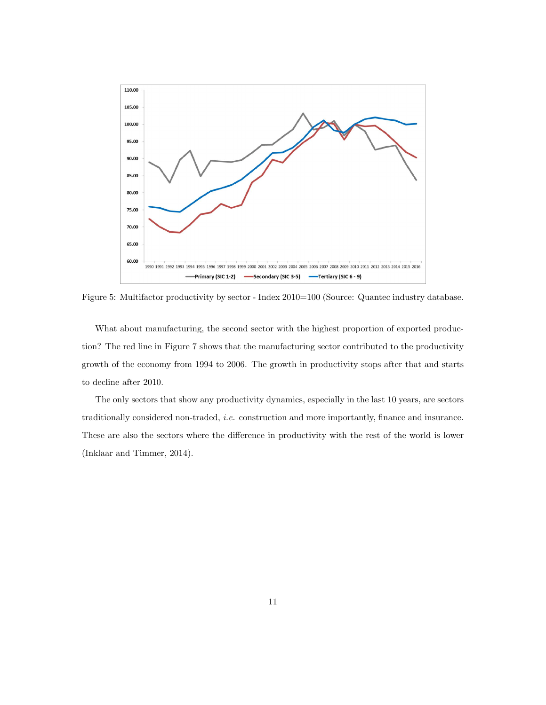

Figure 5: Multifactor productivity by sector - Index 2010=100 (Source: Quantec industry database.

What about manufacturing, the second sector with the highest proportion of exported production? The red line in Figure 7 shows that the manufacturing sector contributed to the productivity growth of the economy from 1994 to 2006. The growth in productivity stops after that and starts to decline after 2010.

The only sectors that show any productivity dynamics, especially in the last 10 years, are sectors traditionally considered non-traded, i.e. construction and more importantly, finance and insurance. These are also the sectors where the difference in productivity with the rest of the world is lower (Inklaar and Timmer, 2014).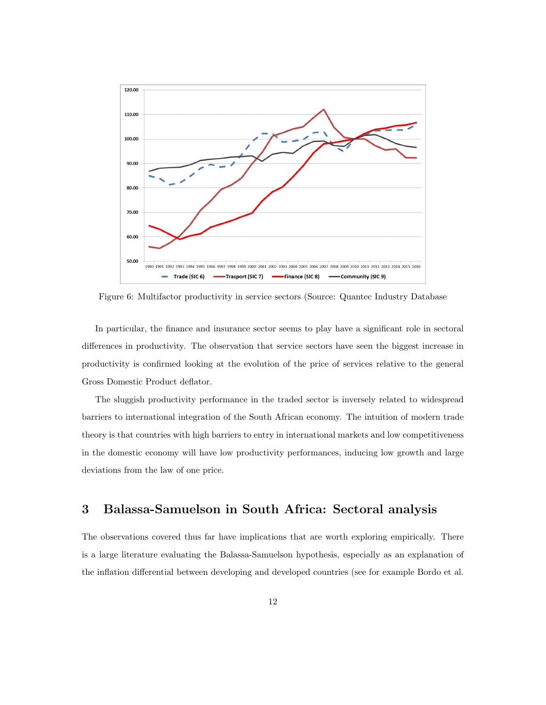

Figure 6: Multifactor productivity in service sectors (Source: Quantec Industry Database

In particular, the finance and insurance sector seems to play have a significant role in sectoral differences in productivity. The observation that service sectors have seen the biggest increase in productivity is confirmed looking at the evolution of the price of services relative to the general Gross Domestic Product deflator.

The sluggish productivity performance in the traded sector is inversely related to widespread barriers to international integration of the South African economy. The intuition of modern trade theory is that countries with high barriers to entry in international markets and low competitiveness in the domestic economy will have low productivity performances, inducing low growth and large deviations from the law of one price.

#### 3 Balassa-Samuelson in South Africa: Sectoral analysis

The observations covered thus far have implications that are worth exploring empirically. There is a large literature evaluating the Balassa-Samuelson hypothesis, especially as an explanation of the inflation differential between developing and developed countries (see for example Bordo et al.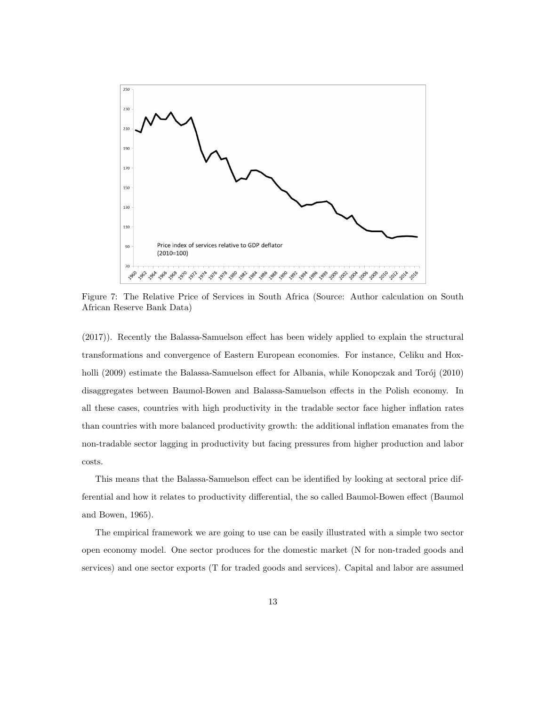

Figure 7: The Relative Price of Services in South Africa (Source: Author calculation on South African Reserve Bank Data)

(2017)). Recently the Balassa-Samuelson effect has been widely applied to explain the structural transformations and convergence of Eastern European economies. For instance, Celiku and Hoxholli (2009) estimate the Balassa-Samuelson effect for Albania, while Konopczak and Torój (2010) disaggregates between Baumol-Bowen and Balassa-Samuelson effects in the Polish economy. In all these cases, countries with high productivity in the tradable sector face higher inflation rates than countries with more balanced productivity growth: the additional inflation emanates from the non-tradable sector lagging in productivity but facing pressures from higher production and labor costs.

This means that the Balassa-Samuelson effect can be identified by looking at sectoral price differential and how it relates to productivity differential, the so called Baumol-Bowen effect (Baumol and Bowen, 1965).

The empirical framework we are going to use can be easily illustrated with a simple two sector open economy model. One sector produces for the domestic market (N for non-traded goods and services) and one sector exports (T for traded goods and services). Capital and labor are assumed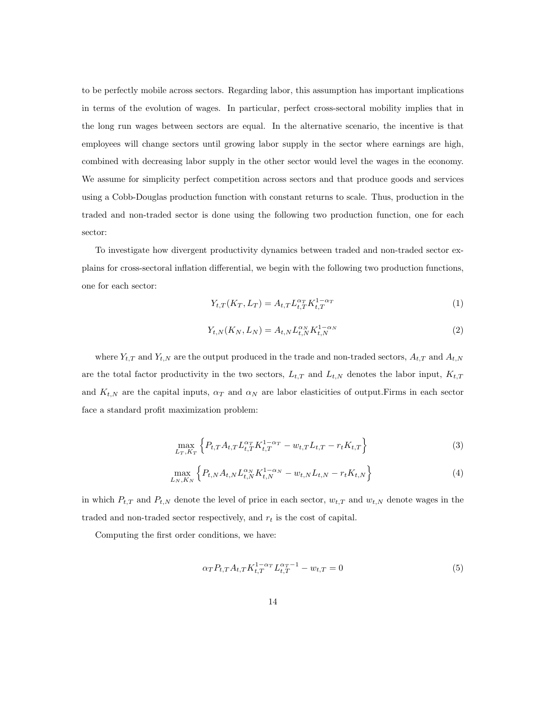to be perfectly mobile across sectors. Regarding labor, this assumption has important implications in terms of the evolution of wages. In particular, perfect cross-sectoral mobility implies that in the long run wages between sectors are equal. In the alternative scenario, the incentive is that employees will change sectors until growing labor supply in the sector where earnings are high, combined with decreasing labor supply in the other sector would level the wages in the economy. We assume for simplicity perfect competition across sectors and that produce goods and services using a Cobb-Douglas production function with constant returns to scale. Thus, production in the traded and non-traded sector is done using the following two production function, one for each sector:

To investigate how divergent productivity dynamics between traded and non-traded sector explains for cross-sectoral inflation differential, we begin with the following two production functions, one for each sector:

$$
Y_{t,T}(K_T, L_T) = A_{t,T} L_{t,T}^{\alpha_T} K_{t,T}^{1-\alpha_T}
$$
\n(1)

$$
Y_{t,N}(K_N, L_N) = A_{t,N} L_{t,N}^{\alpha_N} K_{t,N}^{1-\alpha_N}
$$
\n(2)

where  $Y_{t,T}$  and  $Y_{t,N}$  are the output produced in the trade and non-traded sectors,  $A_{t,T}$  and  $A_{t,N}$ are the total factor productivity in the two sectors,  $L_{t,T}$  and  $L_{t,N}$  denotes the labor input,  $K_{t,T}$ and  $K_{t,N}$  are the capital inputs,  $\alpha_T$  and  $\alpha_N$  are labor elasticities of output. Firms in each sector face a standard profit maximization problem:

$$
\max_{L_T, K_T} \left\{ P_{t,T} A_{t,T} L_{t,T}^{\alpha_T} K_{t,T}^{1-\alpha_T} - w_{t,T} L_{t,T} - r_t K_{t,T} \right\} \tag{3}
$$

$$
\max_{L_N, K_N} \left\{ P_{t,N} A_{t,N} L_{t,N}^{\alpha_N} K_{t,N}^{1-\alpha_N} - w_{t,N} L_{t,N} - r_t K_{t,N} \right\} \tag{4}
$$

in which  $P_{t,T}$  and  $P_{t,N}$  denote the level of price in each sector,  $w_{t,T}$  and  $w_{t,N}$  denote wages in the traded and non-traded sector respectively, and  $r_t$  is the cost of capital.

Computing the first order conditions, we have:

$$
\alpha_T P_{t,T} A_{t,T} K_{t,T}^{1-\alpha_T} L_{t,T}^{\alpha_T-1} - w_{t,T} = 0 \tag{5}
$$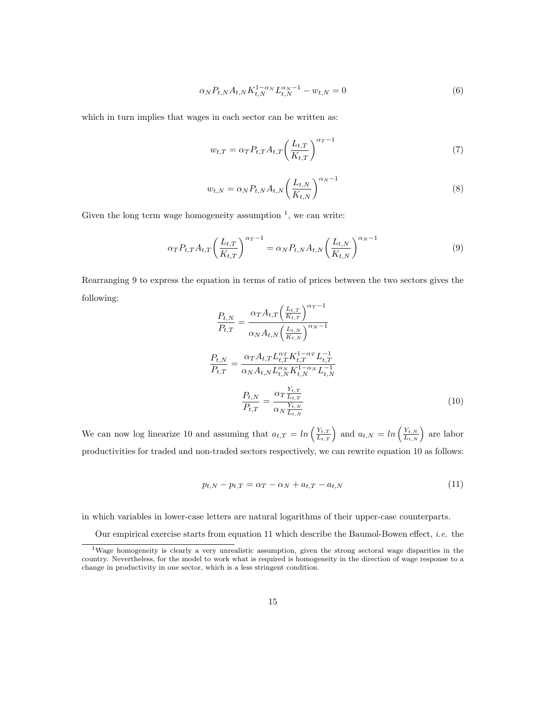$$
\alpha_N P_{t,N} A_{t,N} K_{t,N}^{1-\alpha_N} L_{t,N}^{\alpha_N - 1} - w_{t,N} = 0
$$
\n(6)

which in turn implies that wages in each sector can be written as:

$$
w_{t,T} = \alpha_T P_{t,T} A_{t,T} \left(\frac{L_{t,T}}{K_{t,T}}\right)^{\alpha_T - 1} \tag{7}
$$

$$
w_{t,N} = \alpha_N P_{t,N} A_{t,N} \left(\frac{L_{t,N}}{K_{t,N}}\right)^{\alpha_N - 1}
$$
\n
$$
(8)
$$

Given the long term wage homogeneity assumption  $<sup>1</sup>$ , we can write:</sup>

$$
\alpha_T P_{t,T} A_{t,T} \left( \frac{L_{t,T}}{K_{t,T}} \right)^{\alpha_T - 1} = \alpha_N P_{t,N} A_{t,N} \left( \frac{L_{t,N}}{K_{t,N}} \right)^{\alpha_N - 1} \tag{9}
$$

Rearranging 9 to express the equation in terms of ratio of prices between the two sectors gives the following:

$$
\frac{P_{t,N}}{P_{t,T}} = \frac{\alpha_T A_{t,T} \left(\frac{L_{t,T}}{K_{t,T}}\right)^{\alpha_T - 1}}{\alpha_N A_{t,N} \left(\frac{L_{t,N}}{K_{t,N}}\right)^{\alpha_N - 1}}
$$
\n
$$
\frac{P_{t,N}}{P_{t,T}} = \frac{\alpha_T A_{t,T} L_{t,T}^{\alpha_T} K_{t,T}^{1 - \alpha_T} L_{t,T}^{-1}}{\alpha_N A_{t,N} L_{t,N}^{\alpha_N} K_{t,N}^{1 - \alpha_N} L_{t,N}^{-1}}
$$
\n
$$
\frac{P_{t,N}}{P_{t,T}} = \frac{\alpha_T \frac{Y_{t,T}}{L_{t,T}}}{\alpha_N \frac{Y_{t,N}}{L_{t,N}}}
$$
\n(10)

We can now log linearize 10 and assuming that  $a_{t,T} = \ln\left(\frac{Y_{t,T}}{L_{t,T}}\right)$  and  $a_{t,N} = \ln\left(\frac{Y_{t,N}}{L_{t,N}}\right)$  are labor productivities for traded and non-traded sectors respectively, we can rewrite equation 10 as follows:

$$
p_{t,N} - p_{t,T} = \alpha_T - \alpha_N + a_{t,T} - a_{t,N}
$$
\n(11)

in which variables in lower-case letters are natural logarithms of their upper-case counterparts.

Our empirical exercise starts from equation 11 which describe the Baumol-Bowen effect, *i.e.* the

<sup>&</sup>lt;sup>1</sup>Wage homogeneity is clearly a very unrealistic assumption, given the strong sectoral wage disparities in the country. Nevertheless, for the model to work what is required is homogeneity in the direction of wage response to a change in productivity in one sector, which is a less stringent condition.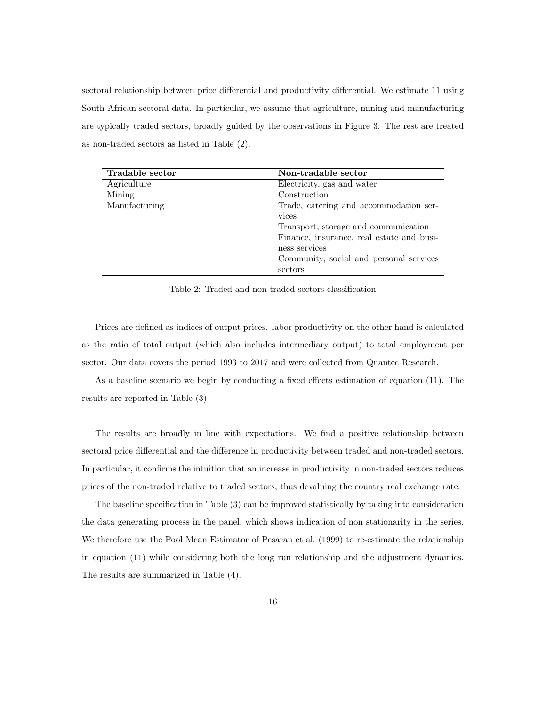sectoral relationship between price differential and productivity differential. We estimate 11 using South African sectoral data. In particular, we assume that agriculture, mining and manufacturing are typically traded sectors, broadly guided by the observations in Figure 3. The rest are treated as non-traded sectors as listed in Table (2).

| Tradable sector | Non-tradable sector                       |
|-----------------|-------------------------------------------|
| Agriculture     | Electricity, gas and water                |
| Mining          | Construction                              |
| Manufacturing   | Trade, catering and accommodation ser-    |
|                 | vices                                     |
|                 | Transport, storage and communication      |
|                 | Finance, insurance, real estate and busi- |
|                 | ness services                             |
|                 | Community, social and personal services   |
|                 | sectors                                   |

Table 2: Traded and non-traded sectors classification

Prices are defined as indices of output prices. labor productivity on the other hand is calculated as the ratio of total output (which also includes intermediary output) to total employment per sector. Our data covers the period 1993 to 2017 and were collected from Quantec Research.

As a baseline scenario we begin by conducting a fixed effects estimation of equation (11). The results are reported in Table (3)

The results are broadly in line with expectations. We find a positive relationship between sectoral price differential and the difference in productivity between traded and non-traded sectors. In particular, it confirms the intuition that an increase in productivity in non-traded sectors reduces prices of the non-traded relative to traded sectors, thus devaluing the country real exchange rate.

The baseline specification in Table (3) can be improved statistically by taking into consideration the data generating process in the panel, which shows indication of non stationarity in the series. We therefore use the Pool Mean Estimator of Pesaran et al. (1999) to re-estimate the relationship in equation (11) while considering both the long run relationship and the adjustment dynamics. The results are summarized in Table (4).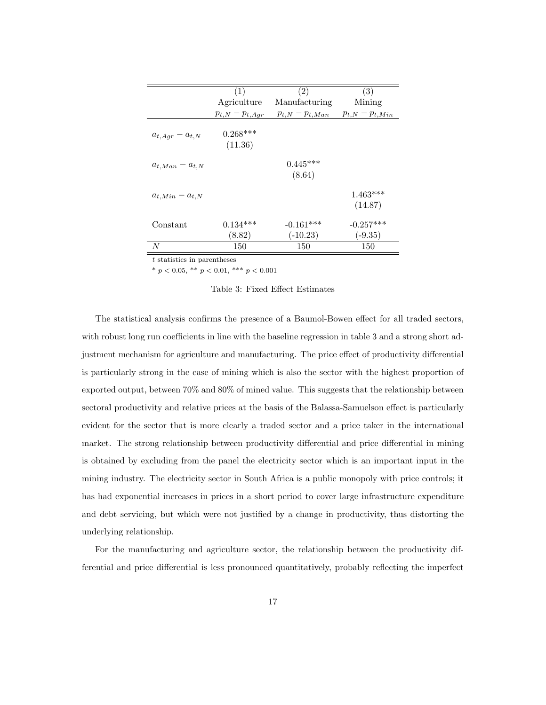|                         | (1)                   | (2)                       | (3)                      |
|-------------------------|-----------------------|---------------------------|--------------------------|
|                         | Agriculture           | Manufacturing             | Mining                   |
|                         | $p_{t,N}-p_{t,Agr}$   | $p_{t,N}-p_{t,Man}$       | $p_{t,N}-p_{t,Min}$      |
| $a_{t, Agr} - a_{t, N}$ | $0.268***$<br>(11.36) |                           |                          |
| $a_{t,Man} - a_{t,N}$   |                       | $0.445***$<br>(8.64)      |                          |
| $a_{t,Min} - a_{t,N}$   |                       |                           | $1.463***$<br>(14.87)    |
| Constant                | $0.134***$<br>(8.82)  | $-0.161***$<br>$(-10.23)$ | $-0.257***$<br>$(-9.35)$ |
| N                       | 150                   | 150                       | 150                      |

 $\boldsymbol{t}$  statistics in parentheses

\*  $p < 0.05$ , \*\*  $p < 0.01$ , \*\*\*  $p < 0.001$ 

#### Table 3: Fixed Effect Estimates

The statistical analysis confirms the presence of a Baumol-Bowen effect for all traded sectors, with robust long run coefficients in line with the baseline regression in table 3 and a strong short adjustment mechanism for agriculture and manufacturing. The price effect of productivity differential is particularly strong in the case of mining which is also the sector with the highest proportion of exported output, between 70% and 80% of mined value. This suggests that the relationship between sectoral productivity and relative prices at the basis of the Balassa-Samuelson effect is particularly evident for the sector that is more clearly a traded sector and a price taker in the international market. The strong relationship between productivity differential and price differential in mining is obtained by excluding from the panel the electricity sector which is an important input in the mining industry. The electricity sector in South Africa is a public monopoly with price controls; it has had exponential increases in prices in a short period to cover large infrastructure expenditure and debt servicing, but which were not justified by a change in productivity, thus distorting the underlying relationship.

For the manufacturing and agriculture sector, the relationship between the productivity differential and price differential is less pronounced quantitatively, probably reflecting the imperfect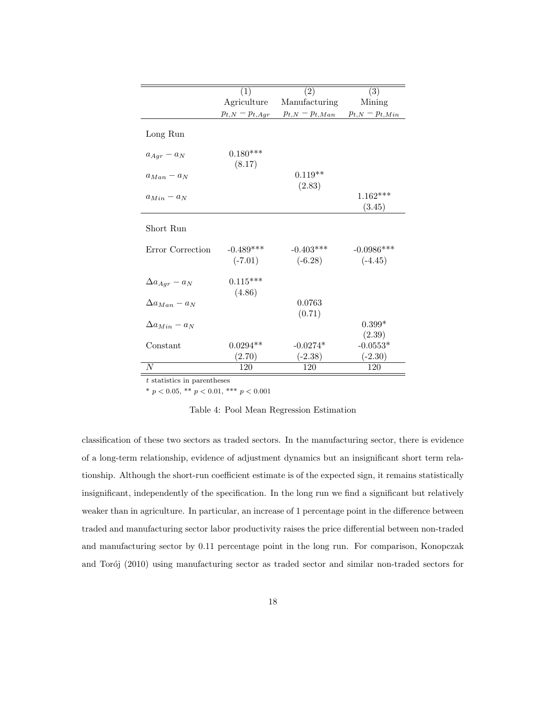|                        | (1)                  | $\bar{2})$          | (3)                  |
|------------------------|----------------------|---------------------|----------------------|
|                        | Agriculture          | Manufacturing       | Mining               |
|                        | $p_{t,N}-p_{t,Agr}$  | $p_{t,N}-p_{t,Man}$ | $p_{t,N}-p_{t,Min}$  |
| Long Run               |                      |                     |                      |
| $a_{Agr} - a_N$        | $0.180***$<br>(8.17) |                     |                      |
| $a_{Man} - a_N$        |                      | $0.119**$<br>(2.83) |                      |
| $a_{Min} - a_N$        |                      |                     | $1.162***$<br>(3.45) |
| Short Run              |                      |                     |                      |
| Error Correction       | $-0.489***$          | $-0.403***$         | $-0.0986$ ***        |
|                        | $(-7.01)$            | $(-6.28)$           | $(-4.45)$            |
| $\Delta a_{Aar} - a_N$ | $0.115***$<br>(4.86) |                     |                      |
| $\Delta a_{Man} - a_N$ |                      | 0.0763<br>(0.71)    |                      |
| $\Delta a_{Min} - a_N$ |                      |                     | $0.399*$<br>(2.39)   |
| Constant               | $0.0294**$           | $-0.0274*$          | $-0.0553*$           |
|                        | (2.70)               | $(-2.38)$           | $(-2.30)$            |
| N                      | 120                  | 120                 | 120                  |

 $\boldsymbol{t}$  statistics in parentheses

\*  $p < 0.05$ , \*\*  $p < 0.01$ , \*\*\*  $p < 0.001$ 

Table 4: Pool Mean Regression Estimation

classification of these two sectors as traded sectors. In the manufacturing sector, there is evidence of a long-term relationship, evidence of adjustment dynamics but an insignificant short term relationship. Although the short-run coefficient estimate is of the expected sign, it remains statistically insignificant, independently of the specification. In the long run we find a significant but relatively weaker than in agriculture. In particular, an increase of 1 percentage point in the difference between traded and manufacturing sector labor productivity raises the price differential between non-traded and manufacturing sector by 0.11 percentage point in the long run. For comparison, Konopczak and Torój (2010) using manufacturing sector as traded sector and similar non-traded sectors for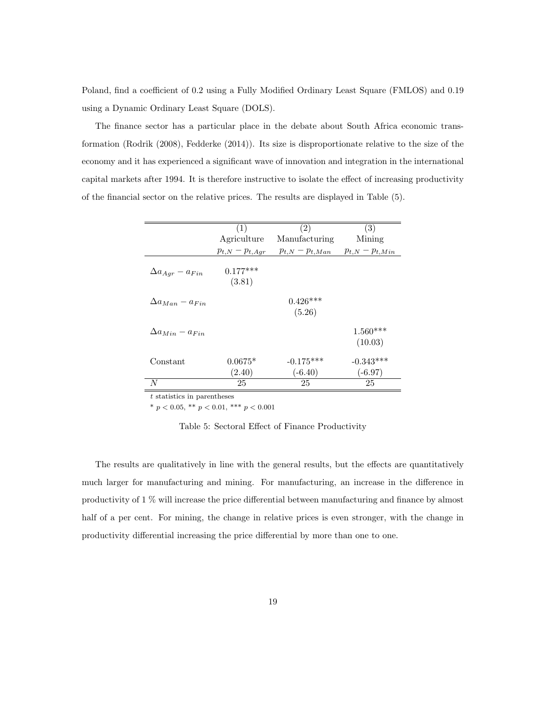Poland, find a coefficient of 0.2 using a Fully Modified Ordinary Least Square (FMLOS) and 0.19 using a Dynamic Ordinary Least Square (DOLS).

The finance sector has a particular place in the debate about South Africa economic transformation (Rodrik (2008), Fedderke (2014)). Its size is disproportionate relative to the size of the economy and it has experienced a significant wave of innovation and integration in the international capital markets after 1994. It is therefore instructive to isolate the effect of increasing productivity of the financial sector on the relative prices. The results are displayed in Table (5).

|                            | (1)                  | (2)                      | (3)                      |
|----------------------------|----------------------|--------------------------|--------------------------|
|                            | Agriculture          | Manufacturing            | Mining                   |
|                            | $p_{t,N}-p_{t,Agr}$  | $p_{t,N}-p_{t,Man}$      | $p_{t,N}-p_{t,Min}$      |
| $\Delta a_{Agr} - a_{Fin}$ | $0.177***$<br>(3.81) |                          |                          |
| $\Delta a_{Man} - a_{Fin}$ |                      | $0.426***$<br>(5.26)     |                          |
| $\Delta a_{Min} - a_{Fin}$ |                      |                          | $1.560***$<br>(10.03)    |
| Constant                   | $0.0675*$<br>(2.40)  | $-0.175***$<br>$(-6.40)$ | $-0.343***$<br>$(-6.97)$ |
| N                          | 25                   | 25                       | 25                       |

 $\boldsymbol{t}$  statistics in parentheses

\*  $p < 0.05$ , \*\*  $p < 0.01$ , \*\*\*  $p < 0.001$ 

Table 5: Sectoral Effect of Finance Productivity

The results are qualitatively in line with the general results, but the effects are quantitatively much larger for manufacturing and mining. For manufacturing, an increase in the difference in productivity of 1 % will increase the price differential between manufacturing and finance by almost half of a per cent. For mining, the change in relative prices is even stronger, with the change in productivity differential increasing the price differential by more than one to one.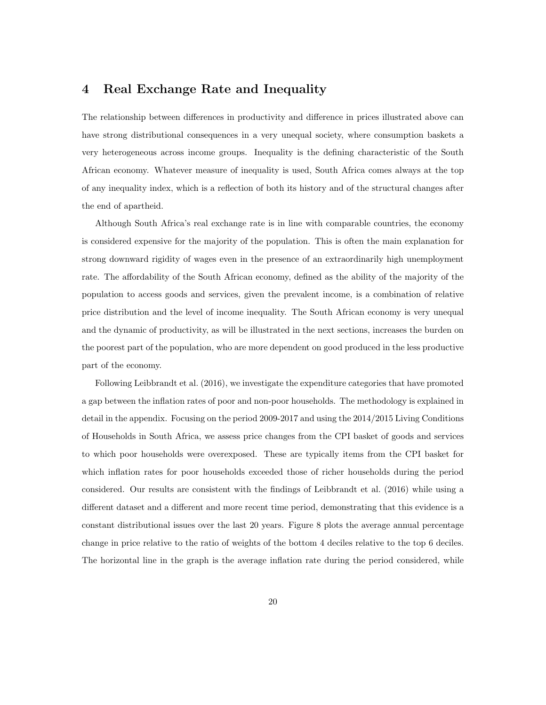#### 4 Real Exchange Rate and Inequality

The relationship between differences in productivity and difference in prices illustrated above can have strong distributional consequences in a very unequal society, where consumption baskets a very heterogeneous across income groups. Inequality is the defining characteristic of the South African economy. Whatever measure of inequality is used, South Africa comes always at the top of any inequality index, which is a reflection of both its history and of the structural changes after the end of apartheid.

Although South Africa's real exchange rate is in line with comparable countries, the economy is considered expensive for the majority of the population. This is often the main explanation for strong downward rigidity of wages even in the presence of an extraordinarily high unemployment rate. The affordability of the South African economy, defined as the ability of the majority of the population to access goods and services, given the prevalent income, is a combination of relative price distribution and the level of income inequality. The South African economy is very unequal and the dynamic of productivity, as will be illustrated in the next sections, increases the burden on the poorest part of the population, who are more dependent on good produced in the less productive part of the economy.

Following Leibbrandt et al. (2016), we investigate the expenditure categories that have promoted a gap between the inflation rates of poor and non-poor households. The methodology is explained in detail in the appendix. Focusing on the period 2009-2017 and using the 2014/2015 Living Conditions of Households in South Africa, we assess price changes from the CPI basket of goods and services to which poor households were overexposed. These are typically items from the CPI basket for which inflation rates for poor households exceeded those of richer households during the period considered. Our results are consistent with the findings of Leibbrandt et al. (2016) while using a different dataset and a different and more recent time period, demonstrating that this evidence is a constant distributional issues over the last 20 years. Figure 8 plots the average annual percentage change in price relative to the ratio of weights of the bottom 4 deciles relative to the top 6 deciles. The horizontal line in the graph is the average inflation rate during the period considered, while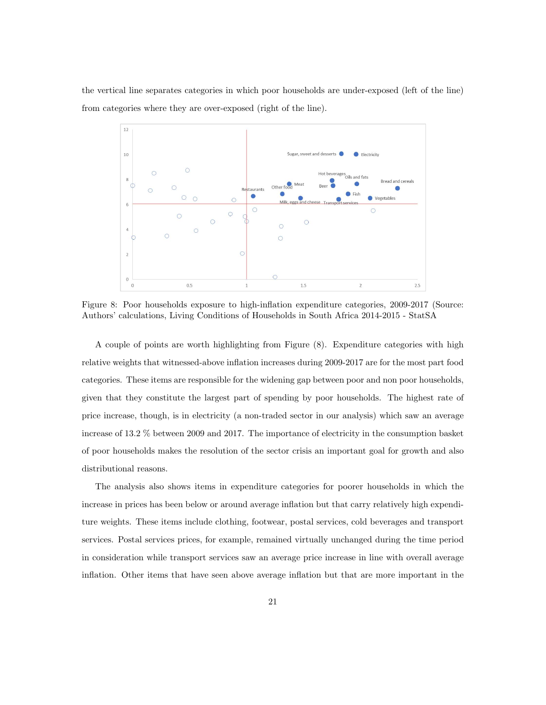the vertical line separates categories in which poor households are under-exposed (left of the line) from categories where they are over-exposed (right of the line).



Figure 8: Poor households exposure to high-inflation expenditure categories, 2009-2017 (Source: Authors' calculations, Living Conditions of Households in South Africa 2014-2015 - StatSA

A couple of points are worth highlighting from Figure (8). Expenditure categories with high relative weights that witnessed-above inflation increases during 2009-2017 are for the most part food categories. These items are responsible for the widening gap between poor and non poor households, given that they constitute the largest part of spending by poor households. The highest rate of price increase, though, is in electricity (a non-traded sector in our analysis) which saw an average increase of 13.2 % between 2009 and 2017. The importance of electricity in the consumption basket of poor households makes the resolution of the sector crisis an important goal for growth and also distributional reasons.

The analysis also shows items in expenditure categories for poorer households in which the increase in prices has been below or around average inflation but that carry relatively high expenditure weights. These items include clothing, footwear, postal services, cold beverages and transport services. Postal services prices, for example, remained virtually unchanged during the time period in consideration while transport services saw an average price increase in line with overall average inflation. Other items that have seen above average inflation but that are more important in the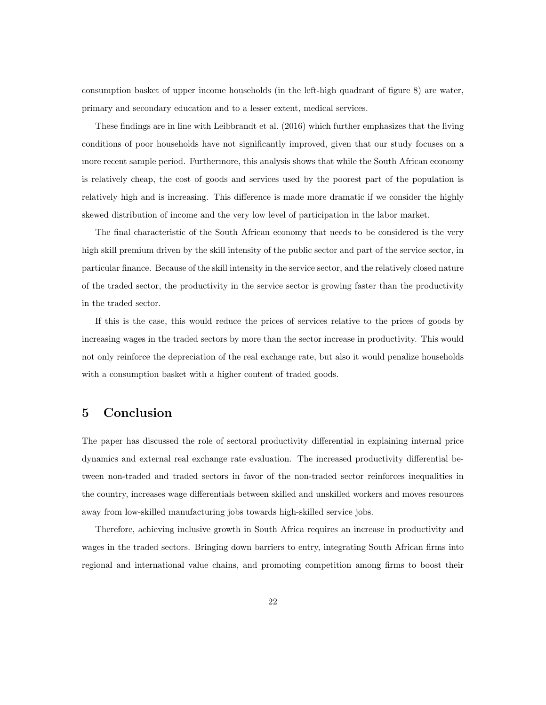consumption basket of upper income households (in the left-high quadrant of figure 8) are water, primary and secondary education and to a lesser extent, medical services.

These findings are in line with Leibbrandt et al. (2016) which further emphasizes that the living conditions of poor households have not significantly improved, given that our study focuses on a more recent sample period. Furthermore, this analysis shows that while the South African economy is relatively cheap, the cost of goods and services used by the poorest part of the population is relatively high and is increasing. This difference is made more dramatic if we consider the highly skewed distribution of income and the very low level of participation in the labor market.

The final characteristic of the South African economy that needs to be considered is the very high skill premium driven by the skill intensity of the public sector and part of the service sector, in particular finance. Because of the skill intensity in the service sector, and the relatively closed nature of the traded sector, the productivity in the service sector is growing faster than the productivity in the traded sector.

If this is the case, this would reduce the prices of services relative to the prices of goods by increasing wages in the traded sectors by more than the sector increase in productivity. This would not only reinforce the depreciation of the real exchange rate, but also it would penalize households with a consumption basket with a higher content of traded goods.

#### 5 Conclusion

The paper has discussed the role of sectoral productivity differential in explaining internal price dynamics and external real exchange rate evaluation. The increased productivity differential between non-traded and traded sectors in favor of the non-traded sector reinforces inequalities in the country, increases wage differentials between skilled and unskilled workers and moves resources away from low-skilled manufacturing jobs towards high-skilled service jobs.

Therefore, achieving inclusive growth in South Africa requires an increase in productivity and wages in the traded sectors. Bringing down barriers to entry, integrating South African firms into regional and international value chains, and promoting competition among firms to boost their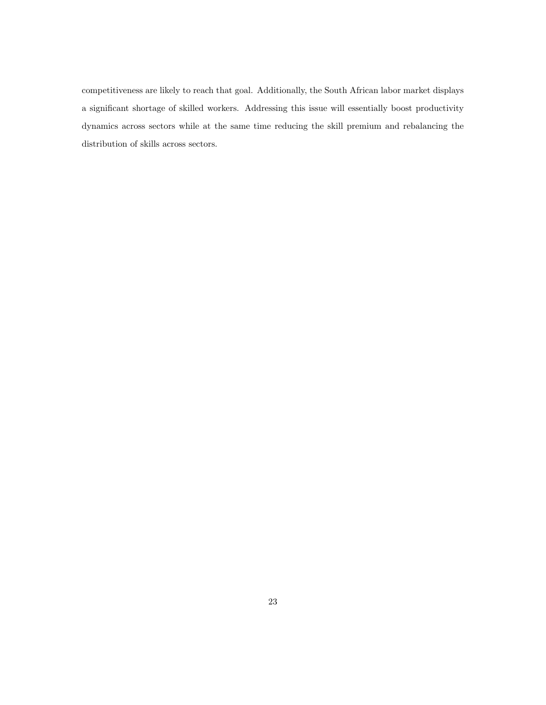competitiveness are likely to reach that goal. Additionally, the South African labor market displays a significant shortage of skilled workers. Addressing this issue will essentially boost productivity dynamics across sectors while at the same time reducing the skill premium and rebalancing the distribution of skills across sectors.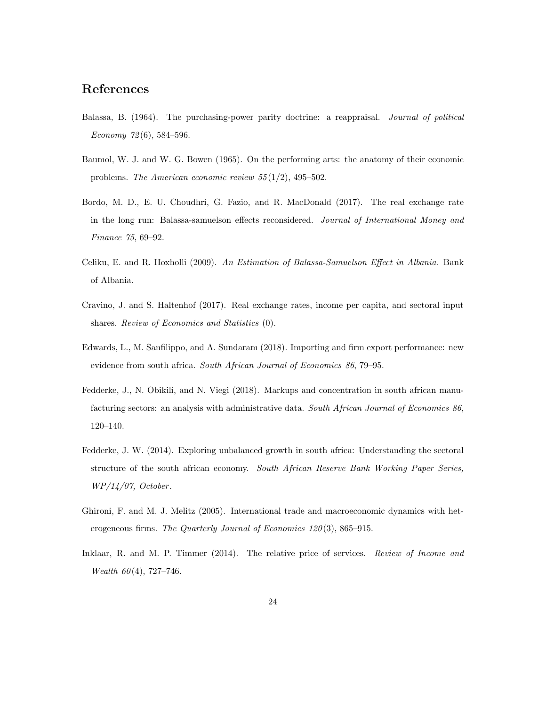#### References

- Balassa, B. (1964). The purchasing-power parity doctrine: a reappraisal. Journal of political Economy  $72(6)$ , 584-596.
- Baumol, W. J. and W. G. Bowen (1965). On the performing arts: the anatomy of their economic problems. The American economic review  $55(1/2)$ , 495–502.
- Bordo, M. D., E. U. Choudhri, G. Fazio, and R. MacDonald (2017). The real exchange rate in the long run: Balassa-samuelson effects reconsidered. Journal of International Money and Finance 75, 69–92.
- Celiku, E. and R. Hoxholli (2009). An Estimation of Balassa-Samuelson Effect in Albania. Bank of Albania.
- Cravino, J. and S. Haltenhof (2017). Real exchange rates, income per capita, and sectoral input shares. Review of Economics and Statistics (0).
- Edwards, L., M. Sanfilippo, and A. Sundaram (2018). Importing and firm export performance: new evidence from south africa. South African Journal of Economics 86, 79–95.
- Fedderke, J., N. Obikili, and N. Viegi (2018). Markups and concentration in south african manufacturing sectors: an analysis with administrative data. South African Journal of Economics 86, 120–140.
- Fedderke, J. W. (2014). Exploring unbalanced growth in south africa: Understanding the sectoral structure of the south african economy. South African Reserve Bank Working Paper Series, WP/14/07, October .
- Ghironi, F. and M. J. Melitz (2005). International trade and macroeconomic dynamics with heterogeneous firms. The Quarterly Journal of Economics 120(3), 865-915.
- Inklaar, R. and M. P. Timmer (2014). The relative price of services. Review of Income and Wealth  $60(4)$ , 727-746.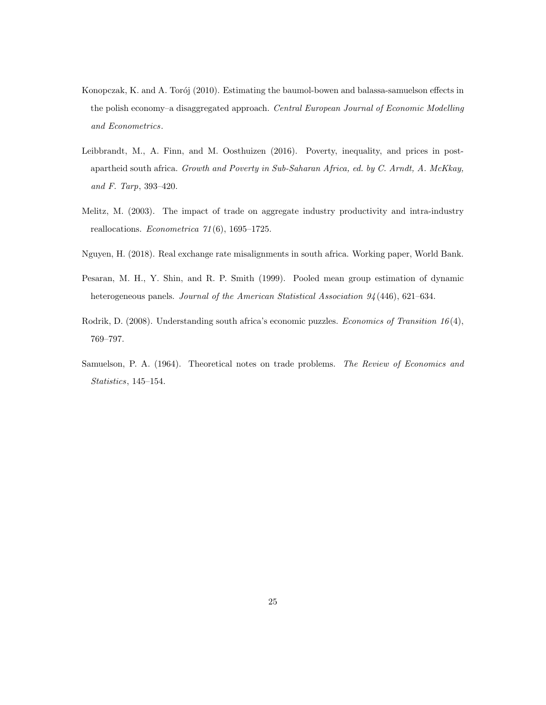- Konopczak, K. and A. Torój (2010). Estimating the baumol-bowen and balassa-samuelson effects in the polish economy–a disaggregated approach. Central European Journal of Economic Modelling and Econometrics.
- Leibbrandt, M., A. Finn, and M. Oosthuizen (2016). Poverty, inequality, and prices in postapartheid south africa. Growth and Poverty in Sub-Saharan Africa, ed. by C. Arndt, A. McKkay, and F. Tarp, 393–420.
- Melitz, M. (2003). The impact of trade on aggregate industry productivity and intra-industry reallocations. Econometrica 71 (6), 1695–1725.
- Nguyen, H. (2018). Real exchange rate misalignments in south africa. Working paper, World Bank.
- Pesaran, M. H., Y. Shin, and R. P. Smith (1999). Pooled mean group estimation of dynamic heterogeneous panels. Journal of the American Statistical Association 94 (446), 621–634.
- Rodrik, D. (2008). Understanding south africa's economic puzzles. *Economics of Transition 16*(4), 769–797.
- Samuelson, P. A. (1964). Theoretical notes on trade problems. The Review of Economics and Statistics, 145–154.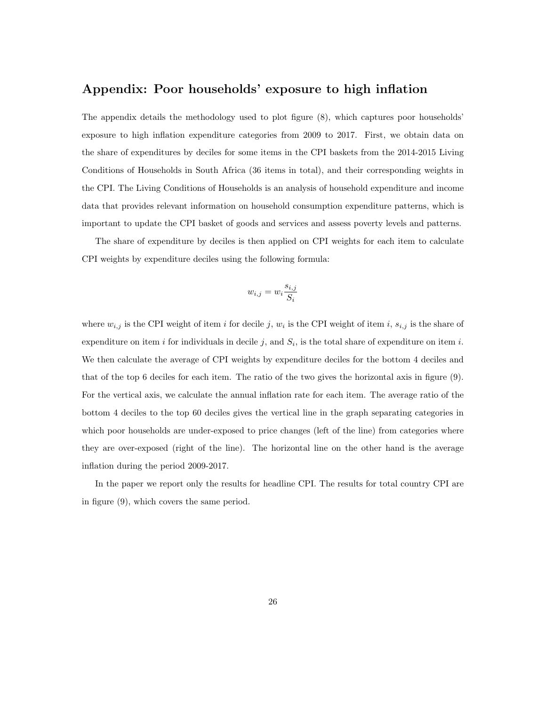#### Appendix: Poor households' exposure to high inflation

The appendix details the methodology used to plot figure (8), which captures poor households' exposure to high inflation expenditure categories from 2009 to 2017. First, we obtain data on the share of expenditures by deciles for some items in the CPI baskets from the 2014-2015 Living Conditions of Households in South Africa (36 items in total), and their corresponding weights in the CPI. The Living Conditions of Households is an analysis of household expenditure and income data that provides relevant information on household consumption expenditure patterns, which is important to update the CPI basket of goods and services and assess poverty levels and patterns.

The share of expenditure by deciles is then applied on CPI weights for each item to calculate CPI weights by expenditure deciles using the following formula:

$$
w_{i,j} = w_i \frac{s_{i,j}}{S_i}
$$

where  $w_{i,j}$  is the CPI weight of item i for decile j,  $w_i$  is the CPI weight of item i,  $s_{i,j}$  is the share of expenditure on item i for individuals in decile j, and  $S_i$ , is the total share of expenditure on item i. We then calculate the average of CPI weights by expenditure deciles for the bottom 4 deciles and that of the top 6 deciles for each item. The ratio of the two gives the horizontal axis in figure (9). For the vertical axis, we calculate the annual inflation rate for each item. The average ratio of the bottom 4 deciles to the top 60 deciles gives the vertical line in the graph separating categories in which poor households are under-exposed to price changes (left of the line) from categories where they are over-exposed (right of the line). The horizontal line on the other hand is the average inflation during the period 2009-2017.

In the paper we report only the results for headline CPI. The results for total country CPI are in figure (9), which covers the same period.